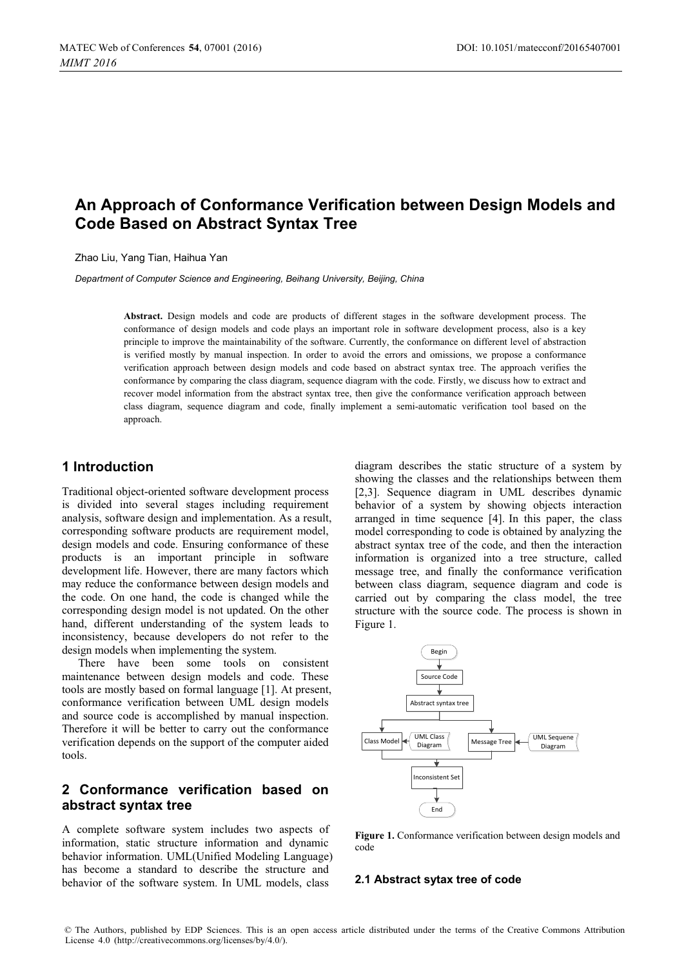# **An Approach of Conformance Verification between Design Models and Code Based on Abstract Syntax Tree**

Zhao Liu, Yang Tian, Haihua Yan

*Department of Computer Science and Engineering, Beihang University, Beijing, China* 

**Abstract.** Design models and code are products of different stages in the software development process. The conformance of design models and code plays an important role in software development process, also is a key principle to improve the maintainability of the software. Currently, the conformance on different level of abstraction is verified mostly by manual inspection. In order to avoid the errors and omissions, we propose a conformance verification approach between design models and code based on abstract syntax tree. The approach verifies the conformance by comparing the class diagram, sequence diagram with the code. Firstly, we discuss how to extract and recover model information from the abstract syntax tree, then give the conformance verification approach between class diagram, sequence diagram and code, finally implement a semi-automatic verification tool based on the approach.

### **1 Introduction**

Traditional object-oriented software development process is divided into several stages including requirement analysis, software design and implementation. As a result, corresponding software products are requirement model, design models and code. Ensuring conformance of these products is an important principle in software development life. However, there are many factors which may reduce the conformance between design models and the code. On one hand, the code is changed while the corresponding design model is not updated. On the other hand, different understanding of the system leads to inconsistency, because developers do not refer to the design models when implementing the system.

There have been some tools on consistent maintenance between design models and code. These tools are mostly based on formal language [1]. At present, conformance verification between UML design models and source code is accomplished by manual inspection. Therefore it will be better to carry out the conformance verification depends on the support of the computer aided tools.

### **2 Conformance verification based on abstract syntax tree**

A complete software system includes two aspects of information, static structure information and dynamic behavior information. UML(Unified Modeling Language) has become a standard to describe the structure and behavior of the software system. In UML models, class

diagram describes the static structure of a system by showing the classes and the relationships between them [2,3]. Sequence diagram in UML describes dynamic behavior of a system by showing objects interaction arranged in time sequence [4]. In this paper, the class model corresponding to code is obtained by analyzing the abstract syntax tree of the code, and then the interaction information is organized into a tree structure, called message tree, and finally the conformance verification between class diagram, sequence diagram and code is carried out by comparing the class model, the tree structure with the source code. The process is shown in Figure 1.



**Figure 1.** Conformance verification between design models and code

#### **2.1 Abstract sytax tree of code**

© The Authors, published by EDP Sciences. This is an open access article distributed under the terms of the Creative Commons Attribution License 4.0 [\(http://creativecommons.org/licenses/by/4.0/\)](http://creativecommons.org/licenses/by/4.0/).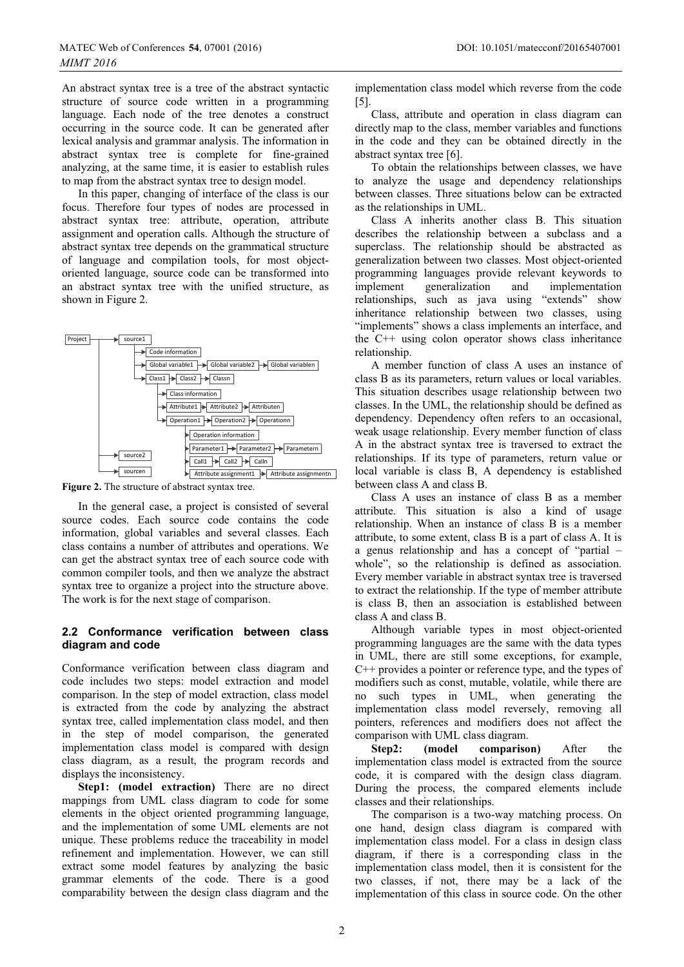An abstract syntax tree is a tree of the abstract syntactic structure of source code written in a programming language. Each node of the tree denotes a construct occurring in the source code. It can be generated after lexical analysis and grammar analysis. The information in abstract syntax tree is complete for fine-grained analyzing, at the same time, it is easier to establish rules to map from the abstract syntax tree to design model.

In this paper, changing of interface of the class is our focus. Therefore four types of nodes are processed in abstract syntax tree: attribute, operation, attribute assignment and operation calls. Although the structure of abstract syntax tree depends on the grammatical structure of language and compilation tools, for most objectoriented language, source code can be transformed into an abstract syntax tree with the unified structure, as shown in Figure 2.



**Figure 2.** The structure of abstract syntax tree.

In the general case, a project is consisted of several source codes. Each source code contains the code information, global variables and several classes. Each class contains a number of attributes and operations. We can get the abstract syntax tree of each source code with common compiler tools, and then we analyze the abstract syntax tree to organize a project into the structure above. The work is for the next stage of comparison.

### **2.2 Conformance verification between class diagram and code**

Conformance verification between class diagram and code includes two steps: model extraction and model comparison. In the step of model extraction, class model is extracted from the code by analyzing the abstract syntax tree, called implementation class model, and then in the step of model comparison, the generated implementation class model is compared with design class diagram, as a result, the program records and displays the inconsistency.

**Step1: (model extraction)** There are no direct mappings from UML class diagram to code for some elements in the object oriented programming language, and the implementation of some UML elements are not unique. These problems reduce the traceability in model refinement and implementation. However, we can still extract some model features by analyzing the basic grammar elements of the code. There is a good comparability between the design class diagram and the

implementation class model which reverse from the code [5].

Class, attribute and operation in class diagram can directly map to the class, member variables and functions in the code and they can be obtained directly in the abstract syntax tree [6].

To obtain the relationships between classes, we have analyze the usage and dependency relationships between classes. Three situations below can be extracted as the relationships in UML.

Class A inherits another class B. This situation describes the relationship between a subclass and a superclass. The relationship should be abstracted as generalization between two classes. Most object-oriented programming languages provide relevant keywords to implement generalization and implementation relationships, such as java using "extends" show inheritance relationship between two classes, using "implements" shows a class implements an interface, and the C++ using colon operator shows class inheritance relationship.

A member function of class A uses an instance of class B as its parameters, return values or local variables. This situation describes usage relationship between two classes. In the UML, the relationship should be defined as dependency. Dependency often refers to an occasional, weak usage relationship. Every member function of class A in the abstract syntax tree is traversed to extract the relationships. If its type of parameters, return value or local variable is class B, A dependency is established between class A and class B.

Class A uses an instance of class B as a member attribute. This situation is also a kind of usage relationship. When an instance of class B is a member attribute, to some extent, class B is a part of class A. It is a genus relationship and has a concept of "partial – whole", so the relationship is defined as association. Every member variable in abstract syntax tree is traversed to extract the relationship. If the type of member attribute is class B, then an association is established between class A and class B.

Although variable types in most object-oriented programming languages are the same with the data types in UML, there are still some exceptions, for example, C++ provides a pointer or reference type, and the types of modifiers such as const, mutable, volatile, while there are no such types in UML, when generating the implementation class model reversely, removing all pointers, references and modifiers does not affect the comparison with UML class diagram.

**Step2:** (model comparison) After the implementation class model is extracted from the source code, it is compared with the design class diagram. During the process, the compared elements include classes and their relationships.

The comparison is a two-way matching process. On one hand, design class diagram is compared with implementation class model. For a class in design class diagram, if there is a corresponding class in the implementation class model, then it is consistent for the two classes, if not, there may be a lack of the implementation of this class in source code. On the other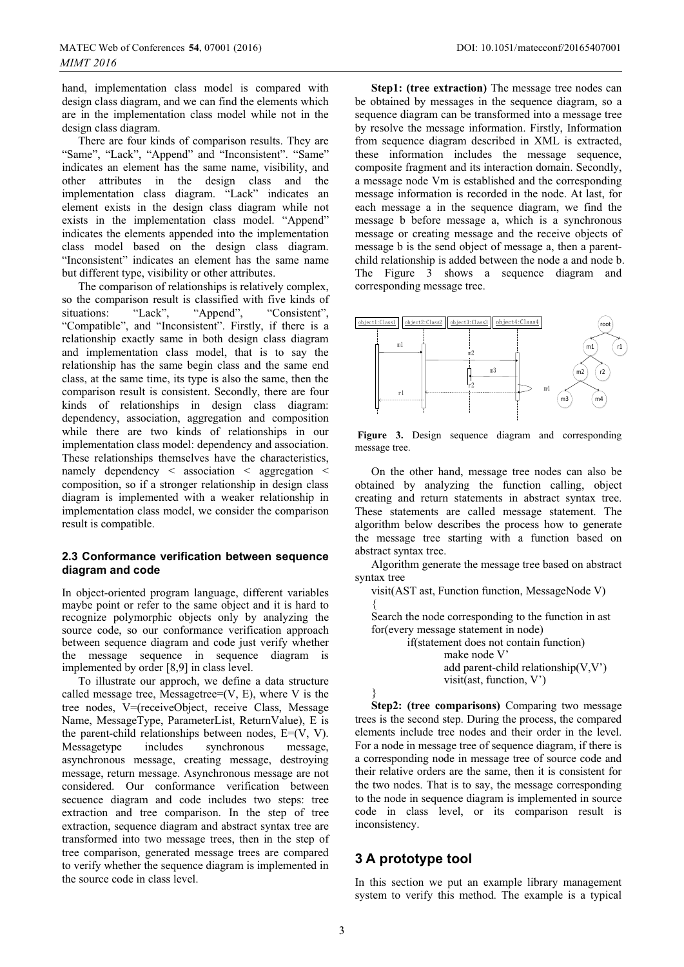hand, implementation class model is compared with design class diagram, and we can find the elements which are in the implementation class model while not in the design class diagram.

There are four kinds of comparison results. They are "Same", "Lack", "Append" and "Inconsistent". "Same" indicates an element has the same name, visibility, and other attributes in the design class and the implementation class diagram. "Lack" indicates an element exists in the design class diagram while not exists in the implementation class model. "Append" indicates the elements appended into the implementation class model based on the design class diagram. "Inconsistent" indicates an element has the same name but different type, visibility or other attributes.

The comparison of relationships is relatively complex, so the comparison result is classified with five kinds of situations: "Lack", "Append", "Consistent", "Compatible", and "Inconsistent". Firstly, if there is a relationship exactly same in both design class diagram and implementation class model, that is to say the relationship has the same begin class and the same end class, at the same time, its type is also the same, then the comparison result is consistent. Secondly, there are four kinds of relationships in design class diagram: dependency, association, aggregation and composition while there are two kinds of relationships in our implementation class model: dependency and association. These relationships themselves have the characteristics, namely dependency < association < aggregation < composition, so if a stronger relationship in design class diagram is implemented with a weaker relationship in implementation class model, we consider the comparison result is compatible.

#### **2.3 Conformance verification between sequence diagram and code**

In object-oriented program language, different variables maybe point or refer to the same object and it is hard to recognize polymorphic objects only by analyzing the source code, so our conformance verification approach between sequence diagram and code just verify whether the message sequence in sequence diagram is implemented by order [8,9] in class level.

To illustrate our approch, we define a data structure called message tree, Messagetree= $(V, E)$ , where V is the tree nodes, V=(receiveObject, receive Class, Message Name, MessageType, ParameterList, ReturnValue), E is the parent-child relationships between nodes,  $E=(V, V)$ . Messagetype includes synchronous message, asynchronous message, creating message, destroying message, return message. Asynchronous message are not considered. Our conformance verification between secuence diagram and code includes two steps: tree extraction and tree comparison. In the step of tree extraction, sequence diagram and abstract syntax tree are transformed into two message trees, then in the step of tree comparison, generated message trees are compared to verify whether the sequence diagram is implemented in the source code in class level.

**Step1: (tree extraction)** The message tree nodes can be obtained by messages in the sequence diagram, so a sequence diagram can be transformed into a message tree by resolve the message information. Firstly, Information from sequence diagram described in XML is extracted, these information includes the message sequence, composite fragment and its interaction domain. Secondly, a message node Vm is established and the corresponding message information is recorded in the node. At last, for each message a in the sequence diagram, we find the message b before message a, which is a synchronous message or creating message and the receive objects of message b is the send object of message a, then a parentchild relationship is added between the node a and node b. The Figure 3 shows a sequence diagram and corresponding message tree.



**Figure 3.** Design sequence diagram and corresponding message tree.

On the other hand, message tree nodes can also be obtained by analyzing the function calling, object creating and return statements in abstract syntax tree. These statements are called message statement. The algorithm below describes the process how to generate the message tree starting with a function based on abstract syntax tree.

Algorithm generate the message tree based on abstract syntax tree

visit(AST ast, Function function, MessageNode V) {

Search the node corresponding to the function in ast for(every message statement in node)

> if(statement does not contain function) make node V' add parent-child relationship(V,V') visit(ast, function, V')



**Step2: (tree comparisons)** Comparing two message trees is the second step. During the process, the compared elements include tree nodes and their order in the level. For a node in message tree of sequence diagram, if there is a corresponding node in message tree of source code and their relative orders are the same, then it is consistent for the two nodes. That is to say, the message corresponding to the node in sequence diagram is implemented in source code in class level, or its comparison result is inconsistency.

### **3 A prototype tool**

In this section we put an example library management system to verify this method. The example is a typical